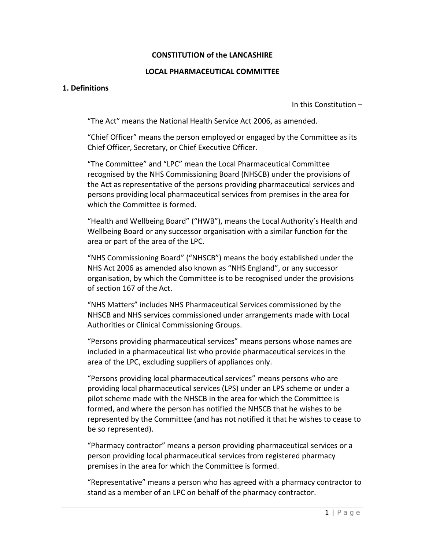### **CONSTITUTION of the LANCASHIRE**

#### **LOCAL PHARMACEUTICAL COMMITTEE**

#### **1. Definitions**

In this Constitution –

"The Act" means the National Health Service Act 2006, as amended.

"Chief Officer" means the person employed or engaged by the Committee as its Chief Officer, Secretary, or Chief Executive Officer.

"The Committee" and "LPC" mean the Local Pharmaceutical Committee recognised by the NHS Commissioning Board (NHSCB) under the provisions of the Act as representative of the persons providing pharmaceutical services and persons providing local pharmaceutical services from premises in the area for which the Committee is formed.

"Health and Wellbeing Board" ("HWB"), means the Local Authority's Health and Wellbeing Board or any successor organisation with a similar function for the area or part of the area of the LPC.

"NHS Commissioning Board" ("NHSCB") means the body established under the NHS Act 2006 as amended also known as "NHS England", or any successor organisation, by which the Committee is to be recognised under the provisions of section 167 of the Act.

"NHS Matters" includes NHS Pharmaceutical Services commissioned by the NHSCB and NHS services commissioned under arrangements made with Local Authorities or Clinical Commissioning Groups.

"Persons providing pharmaceutical services" means persons whose names are included in a pharmaceutical list who provide pharmaceutical services in the area of the LPC, excluding suppliers of appliances only.

"Persons providing local pharmaceutical services" means persons who are providing local pharmaceutical services (LPS) under an LPS scheme or under a pilot scheme made with the NHSCB in the area for which the Committee is formed, and where the person has notified the NHSCB that he wishes to be represented by the Committee (and has not notified it that he wishes to cease to be so represented).

"Pharmacy contractor" means a person providing pharmaceutical services or a person providing local pharmaceutical services from registered pharmacy premises in the area for which the Committee is formed.

"Representative" means a person who has agreed with a pharmacy contractor to stand as a member of an LPC on behalf of the pharmacy contractor.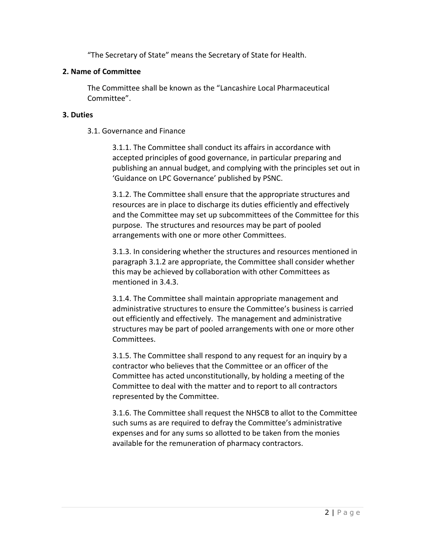"The Secretary of State" means the Secretary of State for Health.

## **2. Name of Committee**

The Committee shall be known as the "Lancashire Local Pharmaceutical Committee".

## **3. Duties**

3.1. Governance and Finance

3.1.1. The Committee shall conduct its affairs in accordance with accepted principles of good governance, in particular preparing and publishing an annual budget, and complying with the principles set out in 'Guidance on LPC Governance' published by PSNC.

3.1.2. The Committee shall ensure that the appropriate structures and resources are in place to discharge its duties efficiently and effectively and the Committee may set up subcommittees of the Committee for this purpose. The structures and resources may be part of pooled arrangements with one or more other Committees.

3.1.3. In considering whether the structures and resources mentioned in paragraph 3.1.2 are appropriate, the Committee shall consider whether this may be achieved by collaboration with other Committees as mentioned in 3.4.3.

3.1.4. The Committee shall maintain appropriate management and administrative structures to ensure the Committee's business is carried out efficiently and effectively. The management and administrative structures may be part of pooled arrangements with one or more other Committees.

3.1.5. The Committee shall respond to any request for an inquiry by a contractor who believes that the Committee or an officer of the Committee has acted unconstitutionally, by holding a meeting of the Committee to deal with the matter and to report to all contractors represented by the Committee.

3.1.6. The Committee shall request the NHSCB to allot to the Committee such sums as are required to defray the Committee's administrative expenses and for any sums so allotted to be taken from the monies available for the remuneration of pharmacy contractors.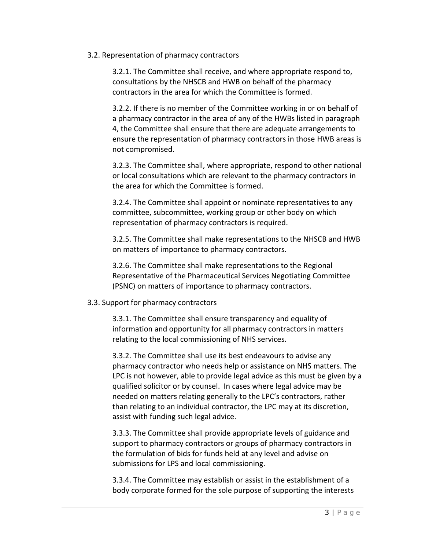#### 3.2. Representation of pharmacy contractors

3.2.1. The Committee shall receive, and where appropriate respond to, consultations by the NHSCB and HWB on behalf of the pharmacy contractors in the area for which the Committee is formed.

3.2.2. If there is no member of the Committee working in or on behalf of a pharmacy contractor in the area of any of the HWBs listed in paragraph 4, the Committee shall ensure that there are adequate arrangements to ensure the representation of pharmacy contractors in those HWB areas is not compromised.

3.2.3. The Committee shall, where appropriate, respond to other national or local consultations which are relevant to the pharmacy contractors in the area for which the Committee is formed.

3.2.4. The Committee shall appoint or nominate representatives to any committee, subcommittee, working group or other body on which representation of pharmacy contractors is required.

3.2.5. The Committee shall make representations to the NHSCB and HWB on matters of importance to pharmacy contractors.

3.2.6. The Committee shall make representations to the Regional Representative of the Pharmaceutical Services Negotiating Committee (PSNC) on matters of importance to pharmacy contractors.

## 3.3. Support for pharmacy contractors

3.3.1. The Committee shall ensure transparency and equality of information and opportunity for all pharmacy contractors in matters relating to the local commissioning of NHS services.

3.3.2. The Committee shall use its best endeavours to advise any pharmacy contractor who needs help or assistance on NHS matters. The LPC is not however, able to provide legal advice as this must be given by a qualified solicitor or by counsel. In cases where legal advice may be needed on matters relating generally to the LPC's contractors, rather than relating to an individual contractor, the LPC may at its discretion, assist with funding such legal advice.

3.3.3. The Committee shall provide appropriate levels of guidance and support to pharmacy contractors or groups of pharmacy contractors in the formulation of bids for funds held at any level and advise on submissions for LPS and local commissioning.

3.3.4. The Committee may establish or assist in the establishment of a body corporate formed for the sole purpose of supporting the interests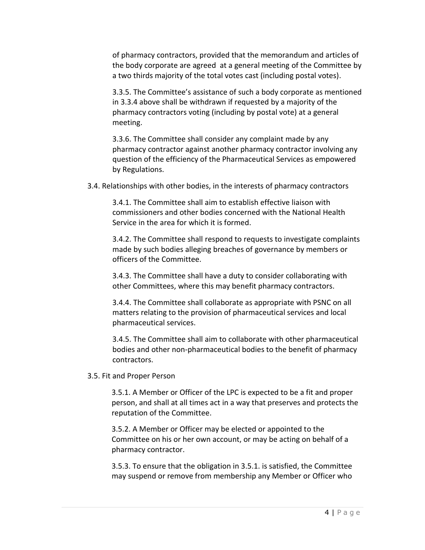of pharmacy contractors, provided that the memorandum and articles of the body corporate are agreed at a general meeting of the Committee by a two thirds majority of the total votes cast (including postal votes).

3.3.5. The Committee's assistance of such a body corporate as mentioned in 3.3.4 above shall be withdrawn if requested by a majority of the pharmacy contractors voting (including by postal vote) at a general meeting.

3.3.6. The Committee shall consider any complaint made by any pharmacy contractor against another pharmacy contractor involving any question of the efficiency of the Pharmaceutical Services as empowered by Regulations.

3.4. Relationships with other bodies, in the interests of pharmacy contractors

3.4.1. The Committee shall aim to establish effective liaison with commissioners and other bodies concerned with the National Health Service in the area for which it is formed.

3.4.2. The Committee shall respond to requests to investigate complaints made by such bodies alleging breaches of governance by members or officers of the Committee.

3.4.3. The Committee shall have a duty to consider collaborating with other Committees, where this may benefit pharmacy contractors.

3.4.4. The Committee shall collaborate as appropriate with PSNC on all matters relating to the provision of pharmaceutical services and local pharmaceutical services.

3.4.5. The Committee shall aim to collaborate with other pharmaceutical bodies and other non-pharmaceutical bodies to the benefit of pharmacy contractors.

3.5. Fit and Proper Person

3.5.1. A Member or Officer of the LPC is expected to be a fit and proper person, and shall at all times act in a way that preserves and protects the reputation of the Committee.

3.5.2. A Member or Officer may be elected or appointed to the Committee on his or her own account, or may be acting on behalf of a pharmacy contractor.

3.5.3. To ensure that the obligation in 3.5.1. is satisfied, the Committee may suspend or remove from membership any Member or Officer who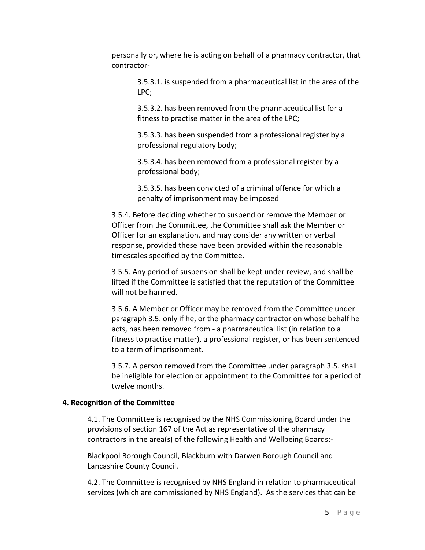personally or, where he is acting on behalf of a pharmacy contractor, that contractor-

3.5.3.1. is suspended from a pharmaceutical list in the area of the LPC;

3.5.3.2. has been removed from the pharmaceutical list for a fitness to practise matter in the area of the LPC;

3.5.3.3. has been suspended from a professional register by a professional regulatory body;

3.5.3.4. has been removed from a professional register by a professional body;

3.5.3.5. has been convicted of a criminal offence for which a penalty of imprisonment may be imposed

3.5.4. Before deciding whether to suspend or remove the Member or Officer from the Committee, the Committee shall ask the Member or Officer for an explanation, and may consider any written or verbal response, provided these have been provided within the reasonable timescales specified by the Committee.

3.5.5. Any period of suspension shall be kept under review, and shall be lifted if the Committee is satisfied that the reputation of the Committee will not be harmed.

3.5.6. A Member or Officer may be removed from the Committee under paragraph 3.5. only if he, or the pharmacy contractor on whose behalf he acts, has been removed from - a pharmaceutical list (in relation to a fitness to practise matter), a professional register, or has been sentenced to a term of imprisonment.

3.5.7. A person removed from the Committee under paragraph 3.5. shall be ineligible for election or appointment to the Committee for a period of twelve months.

## **4. Recognition of the Committee**

4.1. The Committee is recognised by the NHS Commissioning Board under the provisions of section 167 of the Act as representative of the pharmacy contractors in the area(s) of the following Health and Wellbeing Boards:-

Blackpool Borough Council, Blackburn with Darwen Borough Council and Lancashire County Council.

4.2. The Committee is recognised by NHS England in relation to pharmaceutical services (which are commissioned by NHS England). As the services that can be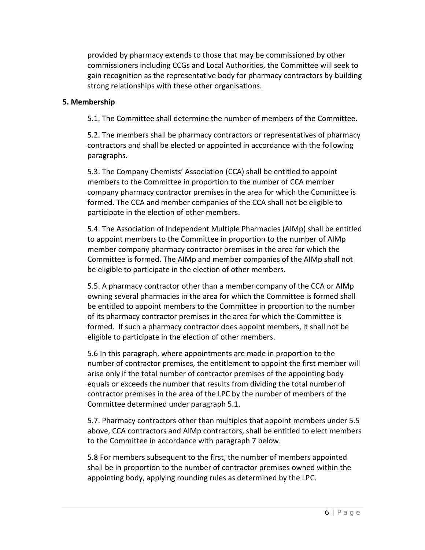provided by pharmacy extends to those that may be commissioned by other commissioners including CCGs and Local Authorities, the Committee will seek to gain recognition as the representative body for pharmacy contractors by building strong relationships with these other organisations.

#### **5. Membership**

5.1. The Committee shall determine the number of members of the Committee.

5.2. The members shall be pharmacy contractors or representatives of pharmacy contractors and shall be elected or appointed in accordance with the following paragraphs.

5.3. The Company Chemists' Association (CCA) shall be entitled to appoint members to the Committee in proportion to the number of CCA member company pharmacy contractor premises in the area for which the Committee is formed. The CCA and member companies of the CCA shall not be eligible to participate in the election of other members.

5.4. The Association of Independent Multiple Pharmacies (AIMp) shall be entitled to appoint members to the Committee in proportion to the number of AIMp member company pharmacy contractor premises in the area for which the Committee is formed. The AIMp and member companies of the AIMp shall not be eligible to participate in the election of other members.

5.5. A pharmacy contractor other than a member company of the CCA or AIMp owning several pharmacies in the area for which the Committee is formed shall be entitled to appoint members to the Committee in proportion to the number of its pharmacy contractor premises in the area for which the Committee is formed. If such a pharmacy contractor does appoint members, it shall not be eligible to participate in the election of other members.

5.6 In this paragraph, where appointments are made in proportion to the number of contractor premises, the entitlement to appoint the first member will arise only if the total number of contractor premises of the appointing body equals or exceeds the number that results from dividing the total number of contractor premises in the area of the LPC by the number of members of the Committee determined under paragraph 5.1.

5.7. Pharmacy contractors other than multiples that appoint members under 5.5 above, CCA contractors and AIMp contractors, shall be entitled to elect members to the Committee in accordance with paragraph 7 below.

5.8 For members subsequent to the first, the number of members appointed shall be in proportion to the number of contractor premises owned within the appointing body, applying rounding rules as determined by the LPC.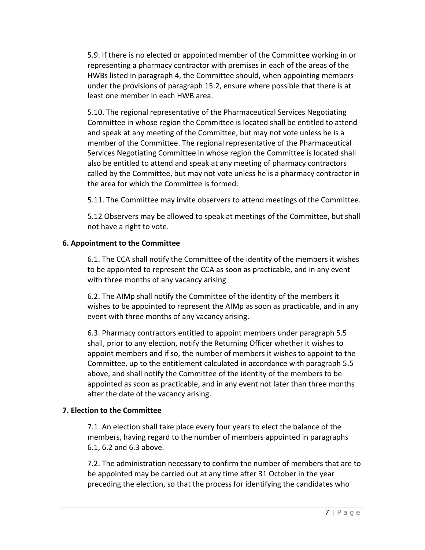5.9. If there is no elected or appointed member of the Committee working in or representing a pharmacy contractor with premises in each of the areas of the HWBs listed in paragraph 4, the Committee should, when appointing members under the provisions of paragraph 15.2, ensure where possible that there is at least one member in each HWB area.

5.10. The regional representative of the Pharmaceutical Services Negotiating Committee in whose region the Committee is located shall be entitled to attend and speak at any meeting of the Committee, but may not vote unless he is a member of the Committee. The regional representative of the Pharmaceutical Services Negotiating Committee in whose region the Committee is located shall also be entitled to attend and speak at any meeting of pharmacy contractors called by the Committee, but may not vote unless he is a pharmacy contractor in the area for which the Committee is formed.

5.11. The Committee may invite observers to attend meetings of the Committee.

5.12 Observers may be allowed to speak at meetings of the Committee, but shall not have a right to vote.

## **6. Appointment to the Committee**

6.1. The CCA shall notify the Committee of the identity of the members it wishes to be appointed to represent the CCA as soon as practicable, and in any event with three months of any vacancy arising

6.2. The AIMp shall notify the Committee of the identity of the members it wishes to be appointed to represent the AIMp as soon as practicable, and in any event with three months of any vacancy arising.

6.3. Pharmacy contractors entitled to appoint members under paragraph 5.5 shall, prior to any election, notify the Returning Officer whether it wishes to appoint members and if so, the number of members it wishes to appoint to the Committee, up to the entitlement calculated in accordance with paragraph 5.5 above, and shall notify the Committee of the identity of the members to be appointed as soon as practicable, and in any event not later than three months after the date of the vacancy arising.

# **7. Election to the Committee**

7.1. An election shall take place every four years to elect the balance of the members, having regard to the number of members appointed in paragraphs 6.1, 6.2 and 6.3 above.

7.2. The administration necessary to confirm the number of members that are to be appointed may be carried out at any time after 31 October in the year preceding the election, so that the process for identifying the candidates who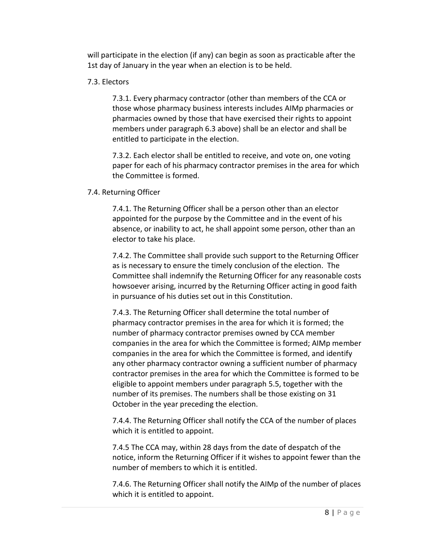will participate in the election (if any) can begin as soon as practicable after the 1st day of January in the year when an election is to be held.

## 7.3. Electors

7.3.1. Every pharmacy contractor (other than members of the CCA or those whose pharmacy business interests includes AIMp pharmacies or pharmacies owned by those that have exercised their rights to appoint members under paragraph 6.3 above) shall be an elector and shall be entitled to participate in the election.

7.3.2. Each elector shall be entitled to receive, and vote on, one voting paper for each of his pharmacy contractor premises in the area for which the Committee is formed.

### 7.4. Returning Officer

7.4.1. The Returning Officer shall be a person other than an elector appointed for the purpose by the Committee and in the event of his absence, or inability to act, he shall appoint some person, other than an elector to take his place.

7.4.2. The Committee shall provide such support to the Returning Officer as is necessary to ensure the timely conclusion of the election. The Committee shall indemnify the Returning Officer for any reasonable costs howsoever arising, incurred by the Returning Officer acting in good faith in pursuance of his duties set out in this Constitution.

7.4.3. The Returning Officer shall determine the total number of pharmacy contractor premises in the area for which it is formed; the number of pharmacy contractor premises owned by CCA member companies in the area for which the Committee is formed; AIMp member companies in the area for which the Committee is formed, and identify any other pharmacy contractor owning a sufficient number of pharmacy contractor premises in the area for which the Committee is formed to be eligible to appoint members under paragraph 5.5, together with the number of its premises. The numbers shall be those existing on 31 October in the year preceding the election.

7.4.4. The Returning Officer shall notify the CCA of the number of places which it is entitled to appoint.

7.4.5 The CCA may, within 28 days from the date of despatch of the notice, inform the Returning Officer if it wishes to appoint fewer than the number of members to which it is entitled.

7.4.6. The Returning Officer shall notify the AIMp of the number of places which it is entitled to appoint.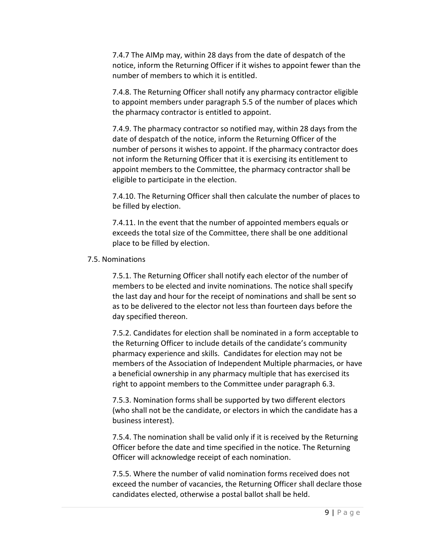7.4.7 The AIMp may, within 28 days from the date of despatch of the notice, inform the Returning Officer if it wishes to appoint fewer than the number of members to which it is entitled.

7.4.8. The Returning Officer shall notify any pharmacy contractor eligible to appoint members under paragraph 5.5 of the number of places which the pharmacy contractor is entitled to appoint.

7.4.9. The pharmacy contractor so notified may, within 28 days from the date of despatch of the notice, inform the Returning Officer of the number of persons it wishes to appoint. If the pharmacy contractor does not inform the Returning Officer that it is exercising its entitlement to appoint members to the Committee, the pharmacy contractor shall be eligible to participate in the election.

7.4.10. The Returning Officer shall then calculate the number of places to be filled by election.

7.4.11. In the event that the number of appointed members equals or exceeds the total size of the Committee, there shall be one additional place to be filled by election.

### 7.5. Nominations

7.5.1. The Returning Officer shall notify each elector of the number of members to be elected and invite nominations. The notice shall specify the last day and hour for the receipt of nominations and shall be sent so as to be delivered to the elector not less than fourteen days before the day specified thereon.

7.5.2. Candidates for election shall be nominated in a form acceptable to the Returning Officer to include details of the candidate's community pharmacy experience and skills. Candidates for election may not be members of the Association of Independent Multiple pharmacies, or have a beneficial ownership in any pharmacy multiple that has exercised its right to appoint members to the Committee under paragraph 6.3.

7.5.3. Nomination forms shall be supported by two different electors (who shall not be the candidate, or electors in which the candidate has a business interest).

7.5.4. The nomination shall be valid only if it is received by the Returning Officer before the date and time specified in the notice. The Returning Officer will acknowledge receipt of each nomination.

7.5.5. Where the number of valid nomination forms received does not exceed the number of vacancies, the Returning Officer shall declare those candidates elected, otherwise a postal ballot shall be held.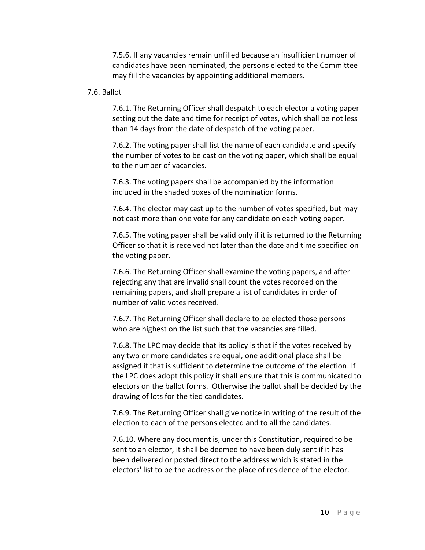7.5.6. If any vacancies remain unfilled because an insufficient number of candidates have been nominated, the persons elected to the Committee may fill the vacancies by appointing additional members.

#### 7.6. Ballot

7.6.1. The Returning Officer shall despatch to each elector a voting paper setting out the date and time for receipt of votes, which shall be not less than 14 days from the date of despatch of the voting paper.

7.6.2. The voting paper shall list the name of each candidate and specify the number of votes to be cast on the voting paper, which shall be equal to the number of vacancies.

7.6.3. The voting papers shall be accompanied by the information included in the shaded boxes of the nomination forms.

7.6.4. The elector may cast up to the number of votes specified, but may not cast more than one vote for any candidate on each voting paper.

7.6.5. The voting paper shall be valid only if it is returned to the Returning Officer so that it is received not later than the date and time specified on the voting paper.

7.6.6. The Returning Officer shall examine the voting papers, and after rejecting any that are invalid shall count the votes recorded on the remaining papers, and shall prepare a list of candidates in order of number of valid votes received.

7.6.7. The Returning Officer shall declare to be elected those persons who are highest on the list such that the vacancies are filled.

7.6.8. The LPC may decide that its policy is that if the votes received by any two or more candidates are equal, one additional place shall be assigned if that is sufficient to determine the outcome of the election. If the LPC does adopt this policy it shall ensure that this is communicated to electors on the ballot forms. Otherwise the ballot shall be decided by the drawing of lots for the tied candidates.

7.6.9. The Returning Officer shall give notice in writing of the result of the election to each of the persons elected and to all the candidates.

7.6.10. Where any document is, under this Constitution, required to be sent to an elector, it shall be deemed to have been duly sent if it has been delivered or posted direct to the address which is stated in the electors' list to be the address or the place of residence of the elector.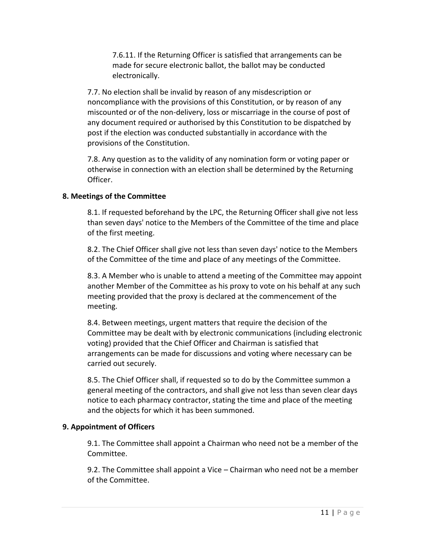7.6.11. If the Returning Officer is satisfied that arrangements can be made for secure electronic ballot, the ballot may be conducted electronically.

7.7. No election shall be invalid by reason of any misdescription or noncompliance with the provisions of this Constitution, or by reason of any miscounted or of the non-delivery, loss or miscarriage in the course of post of any document required or authorised by this Constitution to be dispatched by post if the election was conducted substantially in accordance with the provisions of the Constitution.

7.8. Any question as to the validity of any nomination form or voting paper or otherwise in connection with an election shall be determined by the Returning Officer.

### **8. Meetings of the Committee**

8.1. If requested beforehand by the LPC, the Returning Officer shall give not less than seven days' notice to the Members of the Committee of the time and place of the first meeting.

8.2. The Chief Officer shall give not less than seven days' notice to the Members of the Committee of the time and place of any meetings of the Committee.

8.3. A Member who is unable to attend a meeting of the Committee may appoint another Member of the Committee as his proxy to vote on his behalf at any such meeting provided that the proxy is declared at the commencement of the meeting.

8.4. Between meetings, urgent matters that require the decision of the Committee may be dealt with by electronic communications (including electronic voting) provided that the Chief Officer and Chairman is satisfied that arrangements can be made for discussions and voting where necessary can be carried out securely.

8.5. The Chief Officer shall, if requested so to do by the Committee summon a general meeting of the contractors, and shall give not less than seven clear days notice to each pharmacy contractor, stating the time and place of the meeting and the objects for which it has been summoned.

## **9. Appointment of Officers**

9.1. The Committee shall appoint a Chairman who need not be a member of the Committee.

9.2. The Committee shall appoint a Vice – Chairman who need not be a member of the Committee.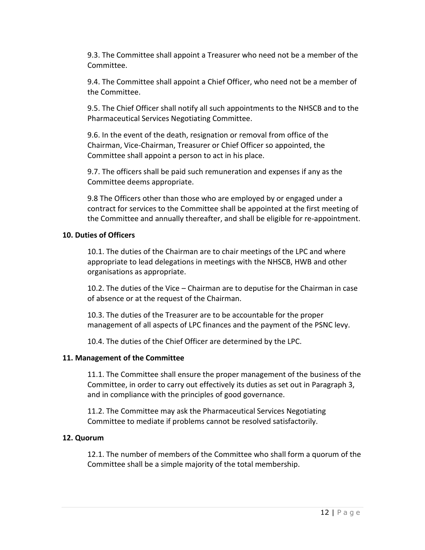9.3. The Committee shall appoint a Treasurer who need not be a member of the Committee.

9.4. The Committee shall appoint a Chief Officer, who need not be a member of the Committee.

9.5. The Chief Officer shall notify all such appointments to the NHSCB and to the Pharmaceutical Services Negotiating Committee.

9.6. In the event of the death, resignation or removal from office of the Chairman, Vice-Chairman, Treasurer or Chief Officer so appointed, the Committee shall appoint a person to act in his place.

9.7. The officers shall be paid such remuneration and expenses if any as the Committee deems appropriate.

9.8 The Officers other than those who are employed by or engaged under a contract for services to the Committee shall be appointed at the first meeting of the Committee and annually thereafter, and shall be eligible for re-appointment.

## **10. Duties of Officers**

10.1. The duties of the Chairman are to chair meetings of the LPC and where appropriate to lead delegations in meetings with the NHSCB, HWB and other organisations as appropriate.

10.2. The duties of the Vice – Chairman are to deputise for the Chairman in case of absence or at the request of the Chairman.

10.3. The duties of the Treasurer are to be accountable for the proper management of all aspects of LPC finances and the payment of the PSNC levy.

10.4. The duties of the Chief Officer are determined by the LPC.

## **11. Management of the Committee**

11.1. The Committee shall ensure the proper management of the business of the Committee, in order to carry out effectively its duties as set out in Paragraph 3, and in compliance with the principles of good governance.

11.2. The Committee may ask the Pharmaceutical Services Negotiating Committee to mediate if problems cannot be resolved satisfactorily.

## **12. Quorum**

12.1. The number of members of the Committee who shall form a quorum of the Committee shall be a simple majority of the total membership.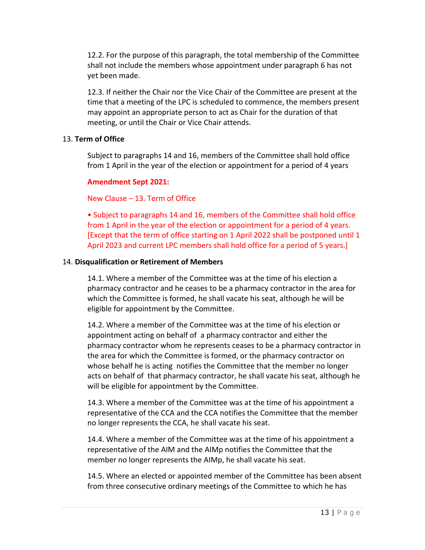12.2. For the purpose of this paragraph, the total membership of the Committee shall not include the members whose appointment under paragraph 6 has not yet been made.

12.3. If neither the Chair nor the Vice Chair of the Committee are present at the time that a meeting of the LPC is scheduled to commence, the members present may appoint an appropriate person to act as Chair for the duration of that meeting, or until the Chair or Vice Chair attends.

## 13. **Term of Office**

Subject to paragraphs 14 and 16, members of the Committee shall hold office from 1 April in the year of the election or appointment for a period of 4 years

### **Amendment Sept 2021:**

New Clause – 13. Term of Office

• Subject to paragraphs 14 and 16, members of the Committee shall hold office from 1 April in the year of the election or appointment for a period of 4 years. [Except that the term of office starting on 1 April 2022 shall be postponed until 1 April 2023 and current LPC members shall hold office for a period of 5 years.]

## 14. **Disqualification or Retirement of Members**

14.1. Where a member of the Committee was at the time of his election a pharmacy contractor and he ceases to be a pharmacy contractor in the area for which the Committee is formed, he shall vacate his seat, although he will be eligible for appointment by the Committee.

14.2. Where a member of the Committee was at the time of his election or appointment acting on behalf of a pharmacy contractor and either the pharmacy contractor whom he represents ceases to be a pharmacy contractor in the area for which the Committee is formed, or the pharmacy contractor on whose behalf he is acting notifies the Committee that the member no longer acts on behalf of that pharmacy contractor, he shall vacate his seat, although he will be eligible for appointment by the Committee.

14.3. Where a member of the Committee was at the time of his appointment a representative of the CCA and the CCA notifies the Committee that the member no longer represents the CCA, he shall vacate his seat.

14.4. Where a member of the Committee was at the time of his appointment a representative of the AIM and the AIMp notifies the Committee that the member no longer represents the AIMp, he shall vacate his seat.

14.5. Where an elected or appointed member of the Committee has been absent from three consecutive ordinary meetings of the Committee to which he has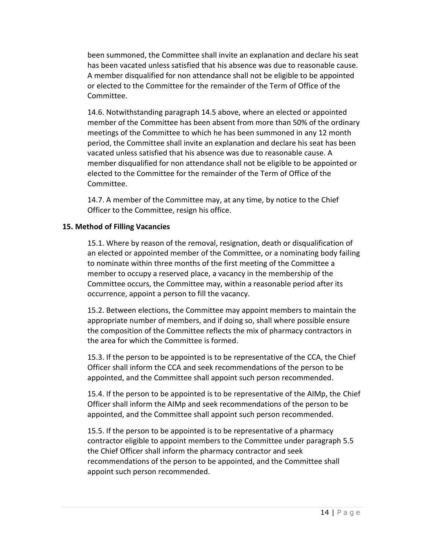been summoned, the Committee shall invite an explanation and declare his seat has been vacated unless satisfied that his absence was due to reasonable cause. A member disqualified for non attendance shall not be eligible to be appointed or elected to the Committee for the remainder of the Term of Office of the Committee.

14.6. Notwithstanding paragraph 14.5 above, where an elected or appointed member of the Committee has been absent from more than 50% of the ordinary meetings of the Committee to which he has been summoned in any 12 month period, the Committee shall invite an explanation and declare his seat has been vacated unless satisfied that his absence was due to reasonable cause. A member disqualified for non attendance shall not be eligible to be appointed or elected to the Committee for the remainder of the Term of Office of the Committee.

14.7. A member of the Committee may, at any time, by notice to the Chief Officer to the Committee, resign his office.

## **15. Method of Filling Vacancies**

15.1. Where by reason of the removal, resignation, death or disqualification of an elected or appointed member of the Committee, or a nominating body failing to nominate within three months of the first meeting of the Committee a member to occupy a reserved place, a vacancy in the membership of the Committee occurs, the Committee may, within a reasonable period after its occurrence, appoint a person to fill the vacancy.

15.2. Between elections, the Committee may appoint members to maintain the appropriate number of members, and if doing so, shall where possible ensure the composition of the Committee reflects the mix of pharmacy contractors in the area for which the Committee is formed.

15.3. If the person to be appointed is to be representative of the CCA, the Chief Officer shall inform the CCA and seek recommendations of the person to be appointed, and the Committee shall appoint such person recommended.

15.4. If the person to be appointed is to be representative of the AIMp, the Chief Officer shall inform the AIMp and seek recommendations of the person to be appointed, and the Committee shall appoint such person recommended.

15.5. If the person to be appointed is to be representative of a pharmacy contractor eligible to appoint members to the Committee under paragraph 5.5 the Chief Officer shall inform the pharmacy contractor and seek recommendations of the person to be appointed, and the Committee shall appoint such person recommended.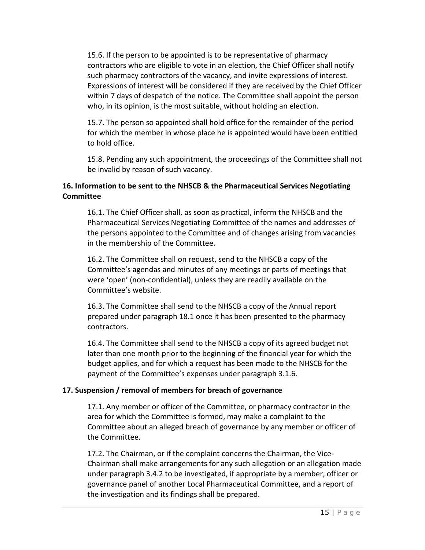15.6. If the person to be appointed is to be representative of pharmacy contractors who are eligible to vote in an election, the Chief Officer shall notify such pharmacy contractors of the vacancy, and invite expressions of interest. Expressions of interest will be considered if they are received by the Chief Officer within 7 days of despatch of the notice. The Committee shall appoint the person who, in its opinion, is the most suitable, without holding an election.

15.7. The person so appointed shall hold office for the remainder of the period for which the member in whose place he is appointed would have been entitled to hold office.

15.8. Pending any such appointment, the proceedings of the Committee shall not be invalid by reason of such vacancy.

# **16. Information to be sent to the NHSCB & the Pharmaceutical Services Negotiating Committee**

16.1. The Chief Officer shall, as soon as practical, inform the NHSCB and the Pharmaceutical Services Negotiating Committee of the names and addresses of the persons appointed to the Committee and of changes arising from vacancies in the membership of the Committee.

16.2. The Committee shall on request, send to the NHSCB a copy of the Committee's agendas and minutes of any meetings or parts of meetings that were 'open' (non-confidential), unless they are readily available on the Committee's website.

16.3. The Committee shall send to the NHSCB a copy of the Annual report prepared under paragraph 18.1 once it has been presented to the pharmacy contractors.

16.4. The Committee shall send to the NHSCB a copy of its agreed budget not later than one month prior to the beginning of the financial year for which the budget applies, and for which a request has been made to the NHSCB for the payment of the Committee's expenses under paragraph 3.1.6.

## **17. Suspension / removal of members for breach of governance**

17.1. Any member or officer of the Committee, or pharmacy contractor in the area for which the Committee is formed, may make a complaint to the Committee about an alleged breach of governance by any member or officer of the Committee.

17.2. The Chairman, or if the complaint concerns the Chairman, the Vice-Chairman shall make arrangements for any such allegation or an allegation made under paragraph 3.4.2 to be investigated, if appropriate by a member, officer or governance panel of another Local Pharmaceutical Committee, and a report of the investigation and its findings shall be prepared.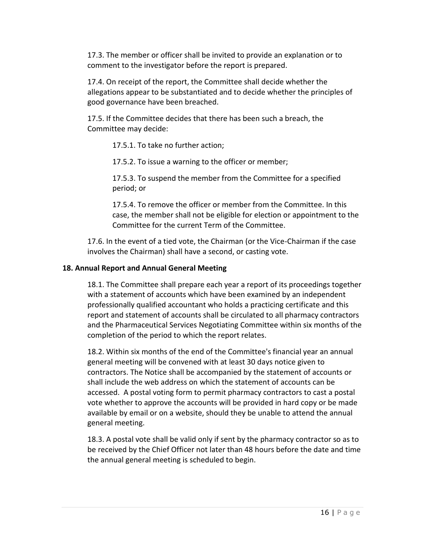17.3. The member or officer shall be invited to provide an explanation or to comment to the investigator before the report is prepared.

17.4. On receipt of the report, the Committee shall decide whether the allegations appear to be substantiated and to decide whether the principles of good governance have been breached.

17.5. If the Committee decides that there has been such a breach, the Committee may decide:

17.5.1. To take no further action;

17.5.2. To issue a warning to the officer or member;

17.5.3. To suspend the member from the Committee for a specified period; or

17.5.4. To remove the officer or member from the Committee. In this case, the member shall not be eligible for election or appointment to the Committee for the current Term of the Committee.

17.6. In the event of a tied vote, the Chairman (or the Vice-Chairman if the case involves the Chairman) shall have a second, or casting vote.

## **18. Annual Report and Annual General Meeting**

18.1. The Committee shall prepare each year a report of its proceedings together with a statement of accounts which have been examined by an independent professionally qualified accountant who holds a practicing certificate and this report and statement of accounts shall be circulated to all pharmacy contractors and the Pharmaceutical Services Negotiating Committee within six months of the completion of the period to which the report relates.

18.2. Within six months of the end of the Committee's financial year an annual general meeting will be convened with at least 30 days notice given to contractors. The Notice shall be accompanied by the statement of accounts or shall include the web address on which the statement of accounts can be accessed. A postal voting form to permit pharmacy contractors to cast a postal vote whether to approve the accounts will be provided in hard copy or be made available by email or on a website, should they be unable to attend the annual general meeting.

18.3. A postal vote shall be valid only if sent by the pharmacy contractor so as to be received by the Chief Officer not later than 48 hours before the date and time the annual general meeting is scheduled to begin.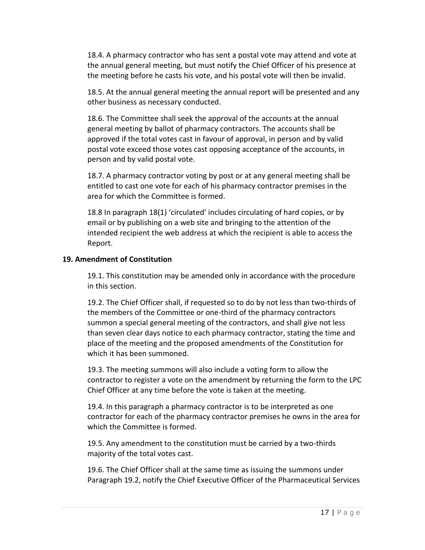18.4. A pharmacy contractor who has sent a postal vote may attend and vote at the annual general meeting, but must notify the Chief Officer of his presence at the meeting before he casts his vote, and his postal vote will then be invalid.

18.5. At the annual general meeting the annual report will be presented and any other business as necessary conducted.

18.6. The Committee shall seek the approval of the accounts at the annual general meeting by ballot of pharmacy contractors. The accounts shall be approved if the total votes cast in favour of approval, in person and by valid postal vote exceed those votes cast opposing acceptance of the accounts, in person and by valid postal vote.

18.7. A pharmacy contractor voting by post or at any general meeting shall be entitled to cast one vote for each of his pharmacy contractor premises in the area for which the Committee is formed.

18.8 In paragraph 18(1) 'circulated' includes circulating of hard copies, or by email or by publishing on a web site and bringing to the attention of the intended recipient the web address at which the recipient is able to access the Report.

### **19. Amendment of Constitution**

19.1. This constitution may be amended only in accordance with the procedure in this section.

19.2. The Chief Officer shall, if requested so to do by not less than two-thirds of the members of the Committee or one-third of the pharmacy contractors summon a special general meeting of the contractors, and shall give not less than seven clear days notice to each pharmacy contractor, stating the time and place of the meeting and the proposed amendments of the Constitution for which it has been summoned.

19.3. The meeting summons will also include a voting form to allow the contractor to register a vote on the amendment by returning the form to the LPC Chief Officer at any time before the vote is taken at the meeting.

19.4. In this paragraph a pharmacy contractor is to be interpreted as one contractor for each of the pharmacy contractor premises he owns in the area for which the Committee is formed.

19.5. Any amendment to the constitution must be carried by a two-thirds majority of the total votes cast.

19.6. The Chief Officer shall at the same time as issuing the summons under Paragraph 19.2, notify the Chief Executive Officer of the Pharmaceutical Services